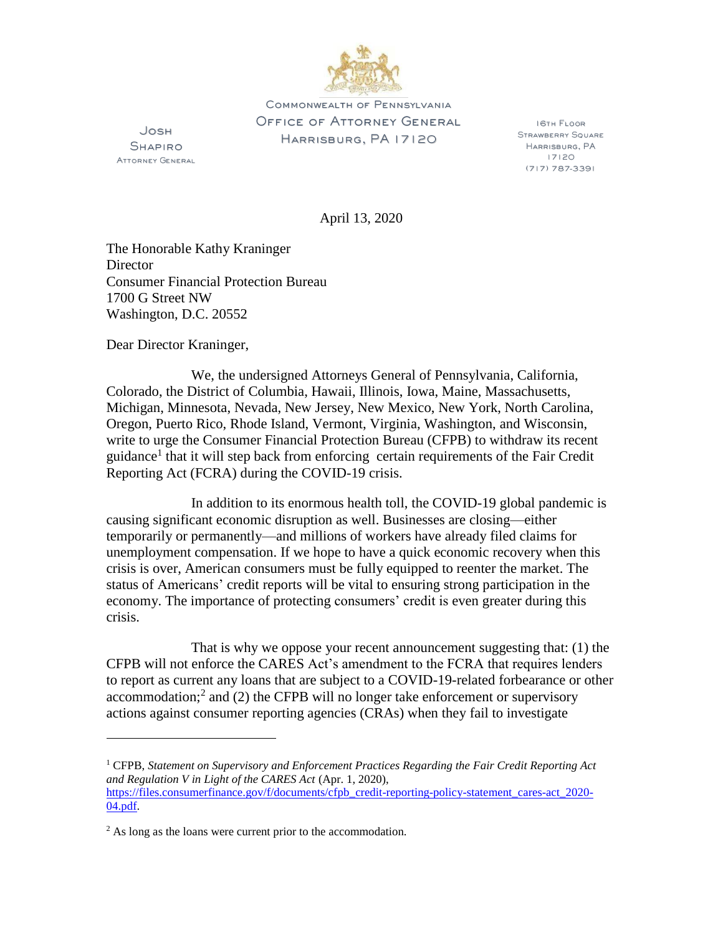

COMMONWEALTH OF PENNSYLVANIA OFFICE OF ATTORNEY GENERAL HARRISBURG, PA 17120

JOSH **SHAPIRO** ATTORNEY GENERAL

**IGTH FLOOR** STRAWBERRY SQUARE HARRISBURG, PA  $17120$ (717) 787-3391

April 13, 2020

The Honorable Kathy Kraninger **Director** Consumer Financial Protection Bureau 1700 G Street NW Washington, D.C. 20552

Dear Director Kraninger,

 $\overline{a}$ 

We, the undersigned Attorneys General of Pennsylvania, California, Colorado, the District of Columbia, Hawaii, Illinois, Iowa, Maine, Massachusetts, Michigan, Minnesota, Nevada, New Jersey, New Mexico, New York, North Carolina, Oregon, Puerto Rico, Rhode Island, Vermont, Virginia, Washington, and Wisconsin, write to urge the Consumer Financial Protection Bureau (CFPB) to withdraw its recent guidance<sup>1</sup> that it will step back from enforcing certain requirements of the Fair Credit Reporting Act (FCRA) during the COVID-19 crisis.

In addition to its enormous health toll, the COVID-19 global pandemic is causing significant economic disruption as well. Businesses are closing—either temporarily or permanently—and millions of workers have already filed claims for unemployment compensation. If we hope to have a quick economic recovery when this crisis is over, American consumers must be fully equipped to reenter the market. The status of Americans' credit reports will be vital to ensuring strong participation in the economy. The importance of protecting consumers' credit is even greater during this crisis.

That is why we oppose your recent announcement suggesting that: (1) the CFPB will not enforce the CARES Act's amendment to the FCRA that requires lenders to report as current any loans that are subject to a COVID-19-related forbearance or other  $accommodation$ ; and (2) the CFPB will no longer take enforcement or supervisory actions against consumer reporting agencies (CRAs) when they fail to investigate

<sup>&</sup>lt;sup>1</sup> CFPB, Statement on Supervisory and Enforcement Practices Regarding the Fair Credit Reporting Act *and Regulation V in Light of the CARES Act* (Apr. 1, 2020), [https://files.consumerfinance.gov/f/documents/cfpb\\_credit-reporting-policy-statement\\_cares-act\\_2020-](https://files.consumerfinance.gov/f/documents/cfpb_credit-reporting-policy-statement_cares-act_2020-04.pdf) [04.pdf.](https://files.consumerfinance.gov/f/documents/cfpb_credit-reporting-policy-statement_cares-act_2020-04.pdf)

<sup>&</sup>lt;sup>2</sup> As long as the loans were current prior to the accommodation.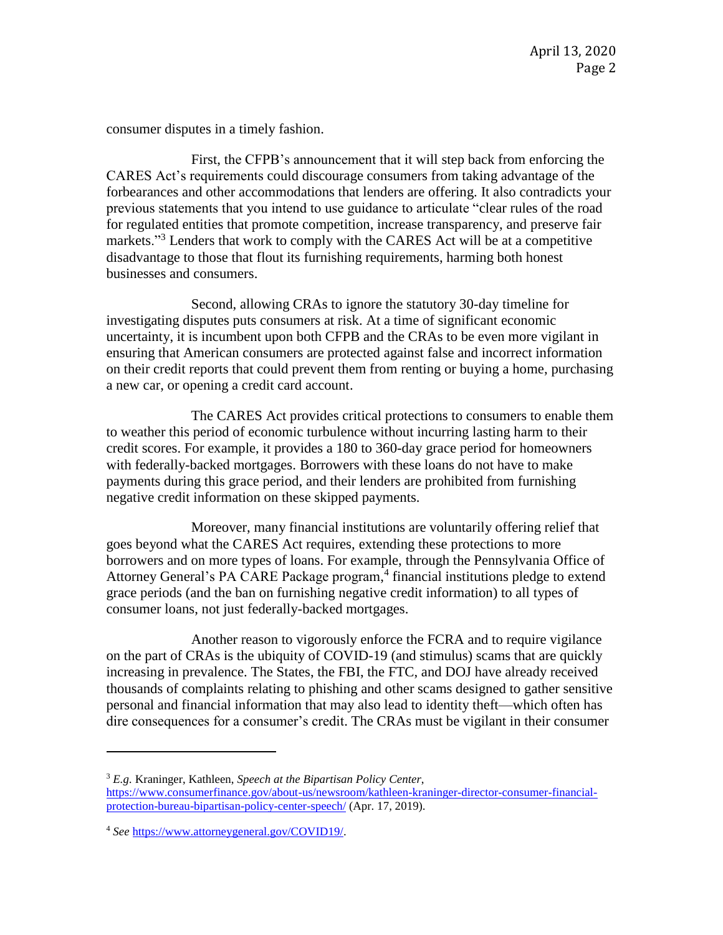consumer disputes in a timely fashion.

First, the CFPB's announcement that it will step back from enforcing the CARES Act's requirements could discourage consumers from taking advantage of the forbearances and other accommodations that lenders are offering. It also contradicts your previous statements that you intend to use guidance to articulate "clear rules of the road for regulated entities that promote competition, increase transparency, and preserve fair markets."<sup>3</sup> Lenders that work to comply with the CARES Act will be at a competitive disadvantage to those that flout its furnishing requirements, harming both honest businesses and consumers.

Second, allowing CRAs to ignore the statutory 30-day timeline for investigating disputes puts consumers at risk. At a time of significant economic uncertainty, it is incumbent upon both CFPB and the CRAs to be even more vigilant in ensuring that American consumers are protected against false and incorrect information on their credit reports that could prevent them from renting or buying a home, purchasing a new car, or opening a credit card account.

The CARES Act provides critical protections to consumers to enable them to weather this period of economic turbulence without incurring lasting harm to their credit scores. For example, it provides a 180 to 360-day grace period for homeowners with federally-backed mortgages. Borrowers with these loans do not have to make payments during this grace period, and their lenders are prohibited from furnishing negative credit information on these skipped payments.

Moreover, many financial institutions are voluntarily offering relief that goes beyond what the CARES Act requires, extending these protections to more borrowers and on more types of loans. For example, through the Pennsylvania Office of Attorney General's PA CARE Package program, 4 financial institutions pledge to extend grace periods (and the ban on furnishing negative credit information) to all types of consumer loans, not just federally-backed mortgages.

Another reason to vigorously enforce the FCRA and to require vigilance on the part of CRAs is the ubiquity of COVID-19 (and stimulus) scams that are quickly increasing in prevalence. The States, the FBI, the FTC, and DOJ have already received thousands of complaints relating to phishing and other scams designed to gather sensitive personal and financial information that may also lead to identity theft—which often has dire consequences for a consumer's credit. The CRAs must be vigilant in their consumer

 $\overline{a}$ 

<sup>3</sup> *E.g.* Kraninger, Kathleen, *Speech at the Bipartisan Policy Center*, [https://www.consumerfinance.gov/about-us/newsroom/kathleen-kraninger-director-consumer-financial](https://www.consumerfinance.gov/about-us/newsroom/kathleen-kraninger-director-consumer-financial-protection-bureau-bipartisan-policy-center-speech/)[protection-bureau-bipartisan-policy-center-speech/](https://www.consumerfinance.gov/about-us/newsroom/kathleen-kraninger-director-consumer-financial-protection-bureau-bipartisan-policy-center-speech/) (Apr. 17, 2019).

<sup>4</sup> *See* [https://www.attorneygeneral.gov/COVID19/.](https://www.attorneygeneral.gov/COVID19/)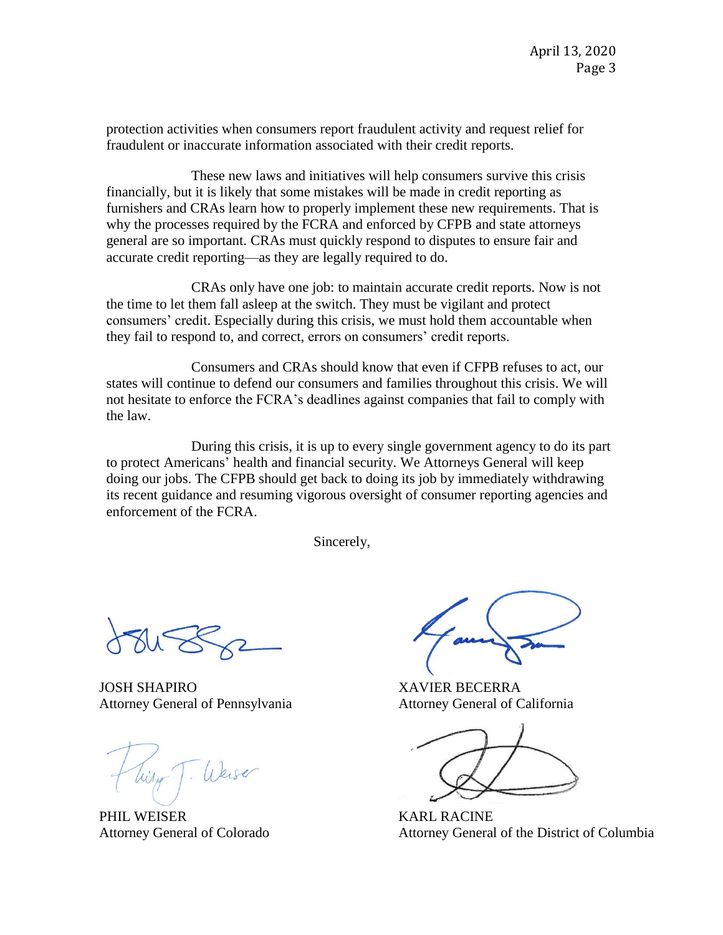protection activities when consumers report fraudulent activity and request relief for fraudulent or inaccurate information associated with their credit reports.

These new laws and initiatives will help consumers survive this crisis financially, but it is likely that some mistakes will be made in credit reporting as furnishers and CRAs learn how to properly implement these new requirements. That is why the processes required by the FCRA and enforced by CFPB and state attorneys general are so important. CRAs must quickly respond to disputes to ensure fair and accurate credit reporting—as they are legally required to do.

CRAs only have one job: to maintain accurate credit reports. Now is not the time to let them fall asleep at the switch. They must be vigilant and protect consumers' credit. Especially during this crisis, we must hold them accountable when they fail to respond to, and correct, errors on consumers' credit reports.

Consumers and CRAs should know that even if CFPB refuses to act, our states will continue to defend our consumers and families throughout this crisis. We will not hesitate to enforce the FCRA's deadlines against companies that fail to comply with the law.

During this crisis, it is up to every single government agency to do its part to protect Americans' health and financial security. We Attorneys General will keep doing our jobs. The CFPB should get back to doing its job by immediately withdrawing its recent guidance and resuming vigorous oversight of consumer reporting agencies and enforcement of the FCRA.

Sincerely,

JOSH SHAPIRO Attorney General of Pennsylvania

Tilly T. Weiser

PHIL WEISER Attorney General of Colorado

XAVIER BECERRA Attorney General of California

KARL RACINE Attorney General of the District of Columbia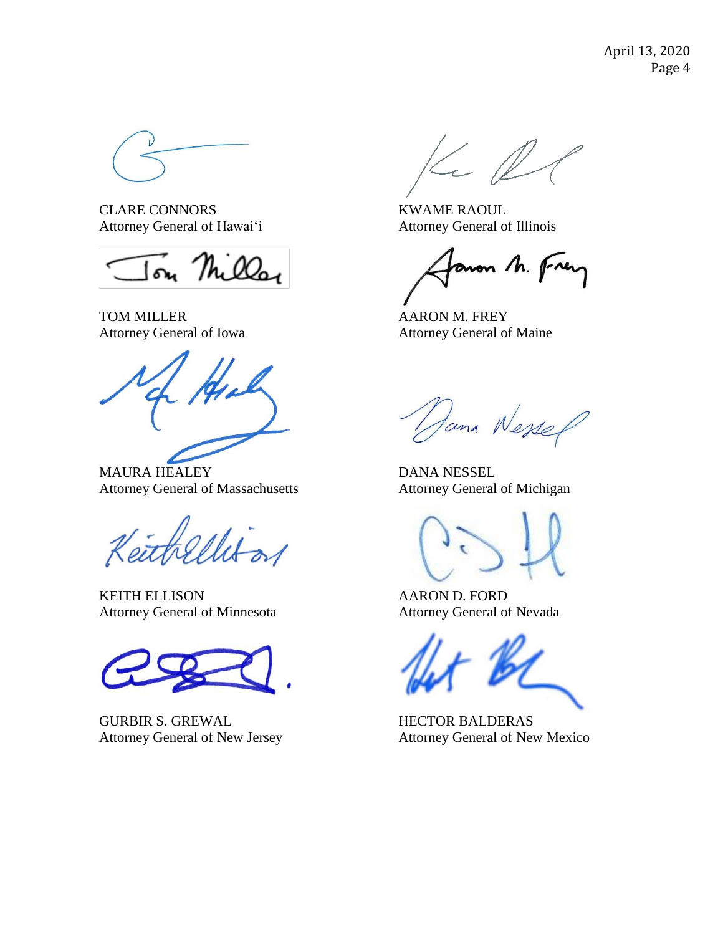April 13, 2020 Page 4

CLARE CONNORS Attorney General of Hawai'i

on Milla

TOM MILLER Attorney General of Iowa

MAURA HEALEY Attorney General of Massachusetts

KEITH ELLISON Attorney General of Minnesota

GURBIR S. GREWAL Attorney General of New Jersey

c l

KWAME RAOUL Attorney General of Illinois

non M. Frey

AARON M. FREY Attorney General of Maine

tana Wessel

DANA NESSEL Attorney General of Michigan

AARON D. FORD Attorney General of Nevada

HECTOR BALDERAS Attorney General of New Mexico